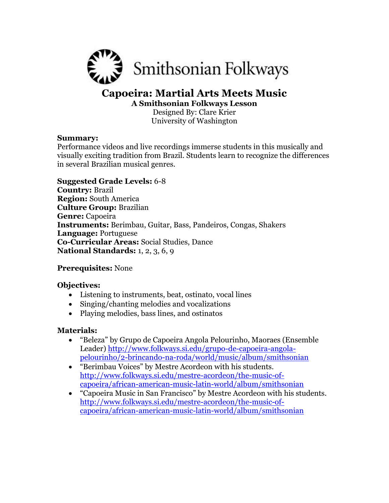

# **Capoeira: Martial Arts Meets Music**

**A Smithsonian Folkways Lesson** Designed By: Clare Krier University of Washington

## **Summary:**

Performance videos and live recordings immerse students in this musically and visually exciting tradition from Brazil. Students learn to recognize the differences in several Brazilian musical genres.

## **Suggested Grade Levels:** 6-8

**Country:** Brazil **Region:** South America **Culture Group:** Brazilian **Genre:** Capoeira **Instruments:** Berimbau, Guitar, Bass, Pandeiros, Congas, Shakers **Language:** Portuguese **Co-Curricular Areas:** Social Studies, Dance **National Standards:** 1, 2, 3, 6, 9

## **Prerequisites:** None

## **Objectives:**

- Listening to instruments, beat, ostinato, vocal lines
- Singing/chanting melodies and vocalizations
- Playing melodies, bass lines, and ostinatos

## **Materials:**

- "Beleza" by Grupo de Capoeira Angola Pelourinho, Maoraes (Ensemble Leader) [http://www.folkways.si.edu/grupo-de-capoeira-angola](http://www.folkways.si.edu/grupo-de-capoeira-angola-pelourinho/2-brincando-na-roda/world/music/album/smithsonian)[pelourinho/2-brincando-na-roda/world/music/album/smithsonian](http://www.folkways.si.edu/grupo-de-capoeira-angola-pelourinho/2-brincando-na-roda/world/music/album/smithsonian)
- "Berimbau Voices" by Mestre Acordeon with his students. [http://www.folkways.si.edu/mestre-acordeon/the-music-of](http://www.folkways.si.edu/mestre-acordeon/the-music-of-capoeira/african-american-music-latin-world/album/smithsonian)[capoeira/african-american-music-latin-world/album/smithsonian](http://www.folkways.si.edu/mestre-acordeon/the-music-of-capoeira/african-american-music-latin-world/album/smithsonian)
- "Capoeira Music in San Francisco" by Mestre Acordeon with his students. [http://www.folkways.si.edu/mestre-acordeon/the-music-of](http://www.folkways.si.edu/mestre-acordeon/the-music-of-capoeira/african-american-music-latin-world/album/smithsonian)[capoeira/african-american-music-latin-world/album/smithsonian](http://www.folkways.si.edu/mestre-acordeon/the-music-of-capoeira/african-american-music-latin-world/album/smithsonian)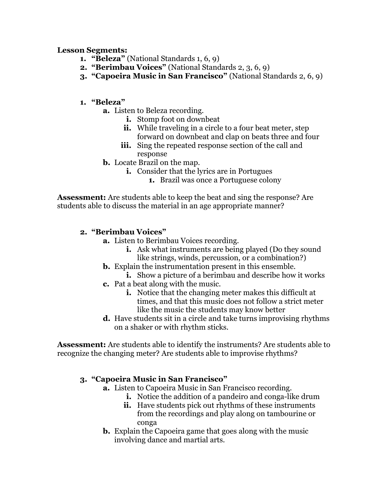## **Lesson Segments:**

- **1. "Beleza"** (National Standards 1, 6, 9)
- **2. "Berimbau Voices"** (National Standards 2, 3, 6, 9)
- **3. "Capoeira Music in San Francisco"** (National Standards 2, 6, 9)

## **1. "Beleza"**

- **a.** Listen to Beleza recording.
	- **i.** Stomp foot on downbeat
	- **ii.** While traveling in a circle to a four beat meter, step forward on downbeat and clap on beats three and four
	- **iii.** Sing the repeated response section of the call and response
- **b.** Locate Brazil on the map.
	- **i.** Consider that the lyrics are in Portugues
		- **1.** Brazil was once a Portuguese colony

**Assessment:** Are students able to keep the beat and sing the response? Are students able to discuss the material in an age appropriate manner?

## **2. "Berimbau Voices"**

- **a.** Listen to Berimbau Voices recording.
	- **i.** Ask what instruments are being played (Do they sound like strings, winds, percussion, or a combination?)
- **b.** Explain the instrumentation present in this ensemble.
	- **i.** Show a picture of a berimbau and describe how it works
- **c.** Pat a beat along with the music.
	- **i.** Notice that the changing meter makes this difficult at times, and that this music does not follow a strict meter like the music the students may know better
- **d.** Have students sit in a circle and take turns improvising rhythms on a shaker or with rhythm sticks.

**Assessment:** Are students able to identify the instruments? Are students able to recognize the changing meter? Are students able to improvise rhythms?

## **3. "Capoeira Music in San Francisco"**

- **a.** Listen to Capoeira Music in San Francisco recording.
	- **i.** Notice the addition of a pandeiro and conga-like drum
	- **ii.** Have students pick out rhythms of these instruments from the recordings and play along on tambourine or conga
- **b.** Explain the Capoeira game that goes along with the music involving dance and martial arts.